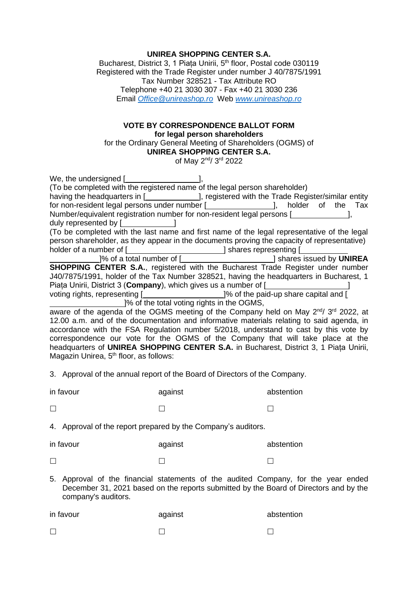## **UNIREA SHOPPING CENTER S.A.**

Bucharest, District 3, 1 Piața Unirii, 5<sup>th</sup> floor, Postal code 030119 Registered with the Trade Register under number J 40/7875/1991 Tax Number 328521 - Tax Attribute RO Telephone +40 21 3030 307 - Fax +40 21 3030 236 Email *[Office@unireashop.ro](mailto:Office@unireashop.ro)* Web *[www.unireashop.ro](http://www.unireashop.ro/)*

## **VOTE BY CORRESPONDENCE BALLOT FORM for legal person shareholders**

for the Ordinary General Meeting of Shareholders (OGMS) of **UNIREA SHOPPING CENTER S.A.**

of May 2<sup>nd</sup>/ 3<sup>rd</sup> 2022

| We, the undersigned [ <b>willenger</b> contains the unit of the state of the state of the state of the state of the state of the state of the state of the state of the state of the state of the state of the state of the state of |
|--------------------------------------------------------------------------------------------------------------------------------------------------------------------------------------------------------------------------------------|
| (To be completed with the registered name of the legal person shareholder)                                                                                                                                                           |
| having the headquarters in [ <b>wire also now mode in the Seat Accept</b> vith the Trade Register/similar entity                                                                                                                     |
| for non-resident legal persons under number [ <i>___________________</i> ], holder<br>Тах<br>of the                                                                                                                                  |
| Number/equivalent registration number for non-resident legal persons [                                                                                                                                                               |
| duly represented by [                                                                                                                                                                                                                |
| (To be completed with the last name and first name of the legal representative of the legal                                                                                                                                          |
| person shareholder, as they appear in the documents proving the capacity of representative)                                                                                                                                          |
| holder of a number of [ <i>________________________</i> ] shares representing [ <i>___________</i>                                                                                                                                   |
| ]% of a total number of [ <i>_______________________</i> ] shares issued by <b>UNIREA</b>                                                                                                                                            |
| <b>SHOPPING CENTER S.A., registered with the Bucharest Trade Register under number</b>                                                                                                                                               |
| J40/7875/1991, holder of the Tax Number 328521, having the headquarters in Bucharest, 1                                                                                                                                              |
| Piata Unirii, District 3 (Company), which gives us a number of [                                                                                                                                                                     |
| voting rights, representing [ <b>will-contain the controller and contract</b> ]% of the paid-up share capital and [                                                                                                                  |
| [20] We of the total voting rights in the OGMS,                                                                                                                                                                                      |
| aware of the agenda of the OGMS meeting of the Company held on May 2 <sup>nd</sup> / 3 <sup>rd</sup> 2022, at                                                                                                                        |
| 12.00 a.m. and of the documentation and informative materials relating to said agenda, in                                                                                                                                            |
|                                                                                                                                                                                                                                      |

accordance with the FSA Regulation number 5/2018, understand to cast by this vote by correspondence our vote for the OGMS of the Company that will take place at the headquarters of **UNIREA SHOPPING CENTER S.A.** in Bucharest, District 3, 1 Piața Unirii, Magazin Unirea,  $5<sup>th</sup>$  floor, as follows:

3. Approval of the annual report of the Board of Directors of the Company.

| in favour | against | abstention |
|-----------|---------|------------|
| $\Box$    |         |            |

4. Approval of the report prepared by the Company's auditors.

| in favour | against | abstention |
|-----------|---------|------------|
|           |         |            |

5. Approval of the financial statements of the audited Company, for the year ended December 31, 2021 based on the reports submitted by the Board of Directors and by the company's auditors.

| in favour | against | abstention |
|-----------|---------|------------|
|           |         |            |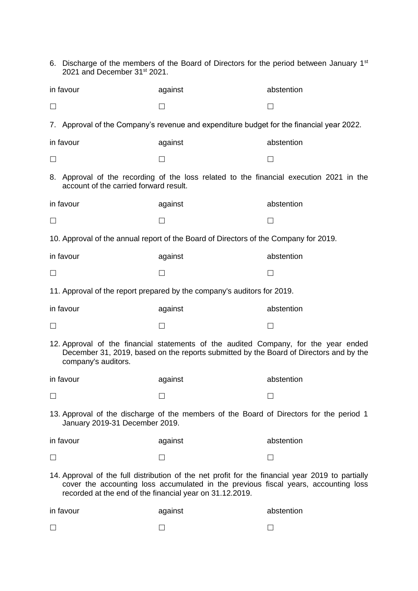|                                                                                                                                                                                                                                                     | 6. Discharge of the members of the Board of Directors for the period between January 1 <sup>st</sup><br>2021 and December 31 <sup>st</sup> 2021. |                                                                                          |            |
|-----------------------------------------------------------------------------------------------------------------------------------------------------------------------------------------------------------------------------------------------------|--------------------------------------------------------------------------------------------------------------------------------------------------|------------------------------------------------------------------------------------------|------------|
|                                                                                                                                                                                                                                                     | in favour                                                                                                                                        | against                                                                                  | abstention |
| $\Box$                                                                                                                                                                                                                                              |                                                                                                                                                  | $\Box$                                                                                   | ⊔          |
|                                                                                                                                                                                                                                                     |                                                                                                                                                  | 7. Approval of the Company's revenue and expenditure budget for the financial year 2022. |            |
|                                                                                                                                                                                                                                                     | in favour                                                                                                                                        | against                                                                                  | abstention |
| $\Box$                                                                                                                                                                                                                                              |                                                                                                                                                  | $\Box$                                                                                   | П          |
|                                                                                                                                                                                                                                                     | account of the carried forward result.                                                                                                           | 8. Approval of the recording of the loss related to the financial execution 2021 in the  |            |
|                                                                                                                                                                                                                                                     | in favour                                                                                                                                        | against                                                                                  | abstention |
| $\Box$                                                                                                                                                                                                                                              |                                                                                                                                                  | П                                                                                        | П          |
|                                                                                                                                                                                                                                                     |                                                                                                                                                  | 10. Approval of the annual report of the Board of Directors of the Company for 2019.     |            |
|                                                                                                                                                                                                                                                     | in favour                                                                                                                                        | against                                                                                  | abstention |
|                                                                                                                                                                                                                                                     |                                                                                                                                                  |                                                                                          |            |
|                                                                                                                                                                                                                                                     |                                                                                                                                                  | 11. Approval of the report prepared by the company's auditors for 2019.                  |            |
|                                                                                                                                                                                                                                                     | in favour                                                                                                                                        | against                                                                                  | abstention |
| ப                                                                                                                                                                                                                                                   |                                                                                                                                                  | ப                                                                                        |            |
| 12. Approval of the financial statements of the audited Company, for the year ended<br>December 31, 2019, based on the reports submitted by the Board of Directors and by the<br>company's auditors.                                                |                                                                                                                                                  |                                                                                          |            |
|                                                                                                                                                                                                                                                     | in favour                                                                                                                                        | against                                                                                  | abstention |
| $\Box$                                                                                                                                                                                                                                              |                                                                                                                                                  |                                                                                          |            |
| 13. Approval of the discharge of the members of the Board of Directors for the period 1<br>January 2019-31 December 2019.                                                                                                                           |                                                                                                                                                  |                                                                                          |            |
|                                                                                                                                                                                                                                                     | in favour                                                                                                                                        | against                                                                                  | abstention |
|                                                                                                                                                                                                                                                     |                                                                                                                                                  | $\mathsf{L}$                                                                             |            |
| 14. Approval of the full distribution of the net profit for the financial year 2019 to partially<br>cover the accounting loss accumulated in the previous fiscal years, accounting loss<br>recorded at the end of the financial year on 31.12.2019. |                                                                                                                                                  |                                                                                          |            |
|                                                                                                                                                                                                                                                     | in favour                                                                                                                                        | against                                                                                  | abstention |
|                                                                                                                                                                                                                                                     |                                                                                                                                                  |                                                                                          |            |